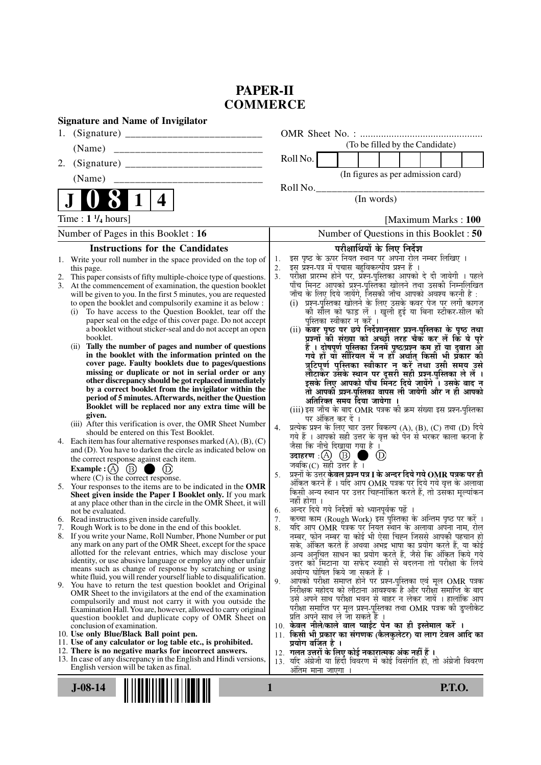## **PAPER-II COMMERCE**

| <b>Signature and Name of Invigilator</b>                                                                                      |                                                                                                                                                     |
|-------------------------------------------------------------------------------------------------------------------------------|-----------------------------------------------------------------------------------------------------------------------------------------------------|
|                                                                                                                               |                                                                                                                                                     |
| (Name)<br>_________________________________                                                                                   | (To be filled by the Candidate)                                                                                                                     |
| 2.                                                                                                                            | Roll No.                                                                                                                                            |
| ______________________________<br>(Name)                                                                                      | (In figures as per admission card)                                                                                                                  |
|                                                                                                                               | Roll No.                                                                                                                                            |
| 4                                                                                                                             | (In words)                                                                                                                                          |
| Time : $1 \frac{1}{4}$ hours]                                                                                                 | [Maximum Marks: 100]                                                                                                                                |
| Number of Pages in this Booklet : 16                                                                                          | Number of Questions in this Booklet : 50                                                                                                            |
| <b>Instructions for the Candidates</b>                                                                                        | परीक्षार्थियों के लिए निर्देश                                                                                                                       |
| Write your roll number in the space provided on the top of<br>1.                                                              | इस पृष्ठ के ऊपर नियत स्थान पर अपना रोल नम्बर लिखिए ।<br>1.<br>इस प्रश्न-पत्र में पचास बहुविकल्पीय प्रश्न हैं ।                                      |
| this page.<br>This paper consists of fifty multiple-choice type of questions.                                                 | 2.<br>3 <sub>1</sub>                                                                                                                                |
| 3.<br>At the commencement of examination, the question booklet                                                                | परीक्षा प्रारम्भ होने पर, प्रश्न-पुस्तिका आपको दे दी जायेगी । पहले<br>पाँच मिनट आपको प्रश्न-पुस्तिका खोलने तथा उसकी निम्नलिखित                      |
| will be given to you. In the first 5 minutes, you are requested<br>to open the booklet and compulsorily examine it as below : | जाँच के लिए दिये जायेंगे, जिसकी जाँच आपको अवश्य करनी है :<br>(i) प्रश्न-पुस्तिका खोलने के लिए उसके कवर पेज पर लगी कागज                              |
| To have access to the Question Booklet, tear off the<br>(i)                                                                   | की सील को फाड़ लें । खुली हुई या बिना स्टीकर-सील की                                                                                                 |
| paper seal on the edge of this cover page. Do not accept                                                                      | पुस्तिका स्वीकार न करें ।                                                                                                                           |
| a booklet without sticker-seal and do not accept an open<br>booklet.                                                          | (ii) कवर पृष्ठ पर छपे निर्देशानुसार प्रश्न्-पुस्तिका के पृष्ठ तथा<br>प्रश्नों की संख्या को अच्छी तरह चैक कर लें कि ये पूरे                          |
| Tally the number of pages and number of questions<br>(ii)                                                                     | हैं । दोषपूर्ण पुस्तिका जिनमें पृष्ठ/प्रश्न कम हों या दुबारा आ<br>गये हों या सीरियल में न हो अर्थात् किसी भी प्रकार की                              |
| in the booklet with the information printed on the<br>cover page. Faulty booklets due to pages/questions                      |                                                                                                                                                     |
| missing or duplicate or not in serial order or any                                                                            | त्रुटिपूर्ण पुस्तिका स्वीकार न करें तथा उसी समय उसे<br>लौटाकेर उसके स्थान पर दूसरी सही प्रश्न-पुस्तिका ले लें ।                                     |
| other discrepancy should be got replaced immediately                                                                          | इसके लिए आपको पाँच मिंनट दिये जायेंगे ँ। उसके बाद न                                                                                                 |
| by a correct booklet from the invigilator within the<br>period of 5 minutes. Afterwards, neither the Question                 | तो आपकी प्रश्न-पुस्तिका वापस ली जायेगी और न ही आपको                                                                                                 |
| Booklet will be replaced nor any extra time will be                                                                           | अतिरिक्त समय दिया जायेगा ।<br>(iii) इस जाँच के बाद OMR पत्रक की क्रम संख्या इस प्रश्न-पुस्तिका                                                      |
| given.                                                                                                                        | पर अंकित कर दें ।                                                                                                                                   |
| (iii) After this verification is over, the OMR Sheet Number<br>should be entered on this Test Booklet.                        | प्रत्येक प्रश्न के लिए चार उत्तर विकल्प (A), (B), (C) तथा (D) दिये<br>4.                                                                            |
| 4. Each item has four alternative responses marked $(A)$ , $(B)$ , $(C)$                                                      | गये हैं । आपको सही उत्तर के वृत्त को पेन से भरकर काला करना है<br>जैसा कि नीचे दिखाया गया है ।                                                       |
| and (D). You have to darken the circle as indicated below on<br>the correct response against each item.                       | उदाहरण $\,$ :(A) $\,$ (B) $\,$ (<br>$\circled{D}$<br>a se                                                                                           |
| Example : $(A)$ $(B)$<br>. ه                                                                                                  | जबकि $(C)$ सही उत्तर है ।                                                                                                                           |
| where $(C)$ is the correct response.                                                                                          | प्रश्नों के उत्तर <b>केवल प्रश्न पत्र I के अन्दर दिये गये OMR पत्रक पर ही</b><br>5.<br>अंकित करने हैं । यदि आप OMR पत्रक पर दिये गये वृत्त के अलावा |
| 5. Your responses to the items are to be indicated in the OMR<br>Sheet given inside the Paper I Booklet only. If you mark     | किसी अन्य स्थान पर उत्तर चिह्नांकित करते हैं, तो उसका मूल्यांकन                                                                                     |
| at any place other than in the circle in the OMR Sheet, it will                                                               | नहीं होगा ।                                                                                                                                         |
| not be evaluated.<br>6. Read instructions given inside carefully.                                                             | अन्दर दिये गये निर्देशों को ध्यानपूर्वक पढ़ें ।<br>6.<br>कृत्वा काम (Rough Work) इस पुस्तिका के अन्तिम पृष्ठ पर करें ।<br>7.                        |
| 7. Rough Work is to be done in the end of this booklet.                                                                       | यदि आप OMR पत्रक पर नियत स्थान के अलावा अपना नाम, रोल<br>8.                                                                                         |
| 8. If you write your Name, Roll Number, Phone Number or put                                                                   | नम्बर, फोन नम्बर या कोई भी ऐसा चिह्न जिससे आपकी पहचान हो                                                                                            |
| any mark on any part of the OMR Sheet, except for the space<br>allotted for the relevant entries, which may disclose your     | सके, अंकित करते हैं अथवा अभद्र भाषा का प्रयोग करते हैं, या कोई<br>अन्य अनुचित साधन का प्रयोग करते हैं, जैसे कि अंकित किये गये                       |
| identity, or use abusive language or employ any other unfair                                                                  | उत्तर को मिटाना या सफेद स्याही से बदलना तो परीक्षा के लिये                                                                                          |
| means such as change of response by scratching or using<br>white fluid, you will render yourself liable to disqualification.  | अयोग्य घोषित किये जा सकते हैं ।                                                                                                                     |
| 9. You have to return the test question booklet and Original                                                                  | आपको परीक्षा समाप्त होने पर प्रश्न-पुस्तिका एवं मूल OMR पत्रक<br>9.<br>निरीक्षक महोदय को लौटाना आवश्यक है और परीक्षा समाप्ति के बाद                 |
| OMR Sheet to the invigilators at the end of the examination<br>compulsorily and must not carry it with you outside the        | उसे अपने साथ परीक्षा भवन से बाहर न लेकर जायें । हालांकि आप                                                                                          |
| Examination Hall. You are, however, allowed to carry original                                                                 | परीक्षा समाप्ति पर मूल प्रश्न-पुस्तिका तथा OMR पत्रक की डुप्लीकेट                                                                                   |
| question booklet and duplicate copy of OMR Sheet on<br>conclusion of examination.                                             | प्रति अपने साथ ले जा सकते हैं ।<br>10. केवल नीले/काले बाल प्वाईंट पेन का ही इस्तेमाल करें ।                                                         |
| 10. Use only Blue/Black Ball point pen.                                                                                       | 11. किसी भी प्रकार का संगणक (कैलकुलेटर) या लाग टेबल आदि का                                                                                          |
| 11. Use of any calculator or log table etc., is prohibited.<br>12. There is no negative marks for incorrect answers.          | प्रयोग वर्जित है ।<br>12. गलत उत्तरों के लिए कोई नकारात्मक अंक नहीं हैं ।                                                                           |
| 13. In case of any discrepancy in the English and Hindi versions,                                                             | 13. यदि अंग्रेजी या हिंदी विवरण में कोई विसंगति हो, तो अंग्रेजी विवरण                                                                               |
| English version will be taken as final.                                                                                       | ओतम माना जाएगा ।                                                                                                                                    |
| $J-08-14$                                                                                                                     | 1<br><b>P.T.O.</b>                                                                                                                                  |
|                                                                                                                               |                                                                                                                                                     |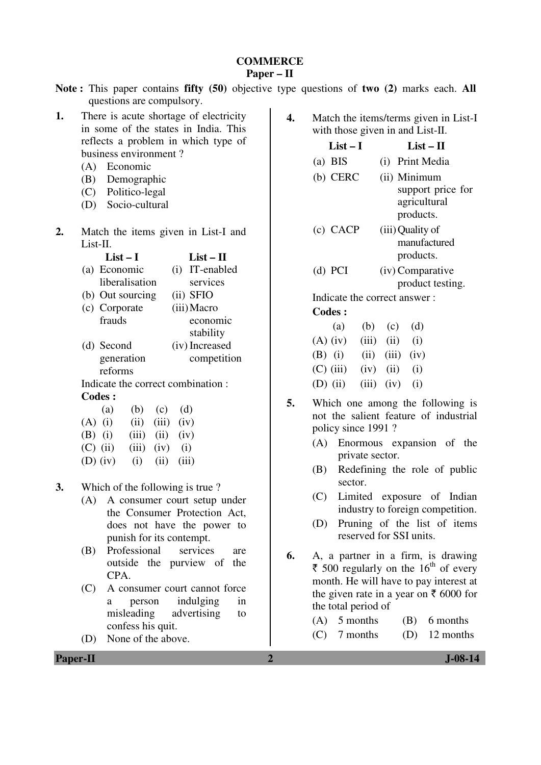# **COMMERCE**

## **Paper – II**

|                                                                                                                                                                                                                                                | Note: This paper contains fifty (50) objective type questions of two (2) marks each. All                                                                                                                               |
|------------------------------------------------------------------------------------------------------------------------------------------------------------------------------------------------------------------------------------------------|------------------------------------------------------------------------------------------------------------------------------------------------------------------------------------------------------------------------|
| questions are compulsory.<br>There is acute shortage of electricity<br>1.<br>in some of the states in India. This<br>reflects a problem in which type of<br>business environment?<br>(A) Economic<br>Demographic<br>(B)                        | 4.<br>Match the items/terms given in List-I<br>with those given in and List-II.<br>$List-I$<br>$List - II$<br>$(a)$ BIS<br>(i) Print Media<br>$(b)$ CERC<br>(ii) Minimum                                               |
| Politico-legal<br>(C)<br>Socio-cultural<br>(D)<br>2.                                                                                                                                                                                           | support price for<br>agricultural<br>products.<br>$(c)$ CACP<br>(iii) Quality of                                                                                                                                       |
| Match the items given in List-I and<br>List-II.<br>$List-I$<br>$List - II$<br>(a) Economic<br>(i) IT-enabled<br>liberalisation<br>services<br>(ii) SFIO<br>(b) Out sourcing<br>(c) Corporate<br>(iii) Macro<br>frauds<br>economic<br>stability | manufactured<br>products.<br>(iv) Comparative<br>$(d)$ PCI<br>product testing.<br>Indicate the correct answer:<br><b>Codes:</b><br>(a)<br>(b)<br>(d)<br>(c)                                                            |
| (iv) Increased<br>(d) Second<br>competition<br>generation<br>reforms<br>Indicate the correct combination :<br><b>Codes:</b>                                                                                                                    | $(A)$ (iv)<br>(iii)<br>(ii)<br>(i)<br>$(B)$ (i)<br>(ii)<br>(iii)<br>(iv)<br>$(C)$ (iii)<br>(ii)<br>(i)<br>(iv)<br>$(D)$ (ii)<br>(i)<br>(iii)<br>(iv)                                                                   |
| (d)<br>(a)<br>(b)<br>(c)<br>(iv)<br>$(A)$ (i)<br>(ii)<br>(iii)<br>$(B)$ (i)<br>(iii)<br>(ii)<br>(iv)<br>$(C)$ (ii)<br>(iii)<br>(iv)<br>(i)<br>$(D)$ (iv)<br>(i)<br>(ii)<br>(iii)                                                               | 5.<br>Which one among the following is<br>not the salient feature of industrial<br>policy since 1991?<br>Enormous expansion of the<br>(A)<br>private sector.<br>Redefining the role of public<br>(B)                   |
| Which of the following is true?<br>3.<br>(A) A consumer court setup under<br>the Consumer Protection Act,<br>does not have the power to<br>punish for its contempt.                                                                            | sector.<br>Limited exposure of Indian<br>(C)<br>industry to foreign competition.<br>Pruning of the list of items<br>(D)<br>reserved for SSI units.                                                                     |
| Professional<br>services<br>(B)<br>are<br>outside the purview of the<br>CPA.<br>(C)<br>A consumer court cannot force<br>indulging<br>person<br>in<br>a                                                                                         | 6.<br>A, a partner in a firm, is drawing<br>₹ 500 regularly on the 16 <sup>th</sup> of every<br>month. He will have to pay interest at<br>the given rate in a year on $\bar{\epsilon}$ 6000 for<br>the total period of |
| misleading<br>advertising<br>to<br>confess his quit.<br>None of the above.<br>(D)<br><b>Paper-II</b>                                                                                                                                           | 5 months<br>(A)<br>(B)<br>6 months<br>7 months<br>12 months<br>(D)<br>(C)<br>$J-08-14$<br>$\overline{2}$                                                                                                               |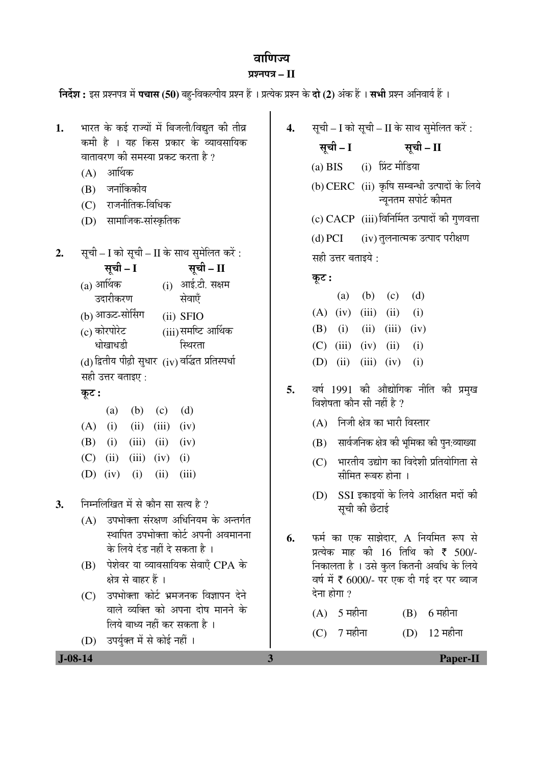## aाणिज्य

### ¯ÖÏ¿®Ö¯Ö¡Ö **– II**

**निर्देश :** इस प्रश्नपत्र में **पचास (50)** बह-विकल्पीय प्रश्न हैं । प्रत्येक प्रश्न के **दो (2)** अंक हैं । सभी प्रश्न अनिवार्य हैं ।

| 1. | भारत के कई राज्यों में बिजली/विद्युत की तीव्र |
|----|-----------------------------------------------|
|    | कमी है । यह किस प्रकार के व्यावसायिक          |
|    | वातावरण की समस्या प्रकट करता है ?             |

- $(A)$  आर्थिक
- $(B)$  जनांकिकीय
- (C) राजनीतिक-विधिक
- (D) सामाजिक-सांस्कृतिक
- **2.** सूची I को सूची II के साथ सुमेलित करें:

सूची – I सूची – II  $(a)$  आर्थिक  $(i)$  आई.टी. सक्षम

- उदारीकरण सेवाएँ
- (b) आऊट-सोर्सिंग (ii) SFIO
- (c) कोरपोरेट धोखाधडी  $(iii)$ समष्टि आर्थिक स्थिरता

 $(d)$  द्वितीय पीढ़ी सुधार  $(iv)$  वर्द्धित प्रतिस्पर्धा सही उत्तर बताइए :

## कुट :

|  | (a) (b) (c) (d)           |  |
|--|---------------------------|--|
|  | $(A)$ (i) (ii) (iii) (iv) |  |
|  | (B) (i) (iii) (ii) (iv)   |  |
|  | (C) (ii) (iii) (iv) (i)   |  |
|  | (D) $(iv)$ (i) (ii) (iii) |  |

- 3. निम्नलिखित में से कौन सा सत्य है ?
	- $(A)$  उपभोक्ता संरक्षण अधिनियम के अन्तर्गत स्थापित उपभोक्ता कोर्ट अपनी अवमानना के लिये दंड नहीं दे सकता है ।
	- $(B)$  पेशेवर या व्यावसायिक सेवाएँ CPA के क्षेत्र से बाहर हैं ।
	- (C) उपभोक्ता कोर्ट भ्रमजनक विज्ञापन देने वाले व्यक्ति को अपना दोष मानने के लिये बाध्य नहीं कर सकता है ।
	- (D) उपर्युक्त में से कोई नहीं ।

**4.** सूची – I को सूची – II के साथ सुमेलित करें :

सूची – I सूची – II (a) BIS (i) प्रिंट मीडिया (b) CERC (ii) कृषि सम्बन्धी उत्पादों के लिये न्यूनतम सपोर्ट कीमत (c) CACP (iii) विनिर्मित उत्पादों की गुणवत्ता

(d) PCI (iv) तुलनात्मक उत्पाद परीक्षण सही उत्तर बताइये :

कूट :

|                           | (a) (b) (c) (d) |  |
|---------------------------|-----------------|--|
| $(A)$ (iv) (iii) (ii) (i) |                 |  |
| (B) (i) (ii) (iii) (iv)   |                 |  |
| $(C)$ (iii) (iv) (ii) (i) |                 |  |
| (D) (ii) (iii) (iv) (i)   |                 |  |

- 5. वर्ष 1991 की औद्योगिक नीति की प्रमुख विशेषता कौन सी नहीं है ?
	- (A) निजी क्षेत्र का भारी विस्तार
	- $(B)$  सार्वजनिक क्षेत्र की भुमिका की पुन:व्याख्या
	- $(C)$  भारतीय उद्योग का विदेशी प्रतियोगिता से सीमित रूबरु होना $\,$ ।
	- (D) SSI इकाइयों के लिये आरक्षित मदों की सूची की छँटाई
- **6.** फर्म का एक साझेदार, A नियमित रूप से प्रत्येक माह की 16 तिथि को ₹ 500/-निकालता है । उसे कल कितनी अवधि के लिये वर्ष में ₹ 6000/- पर एक दी गई दर पर ब्याज  $\overline{6}$ ना होगा ?

| $(A)$ 5 महीना | $(B)$ 6 महीना  |
|---------------|----------------|
| $(C)$ 7 महीना | $(D)$ 12 महीना |

 **J-08-14 3 Paper-II**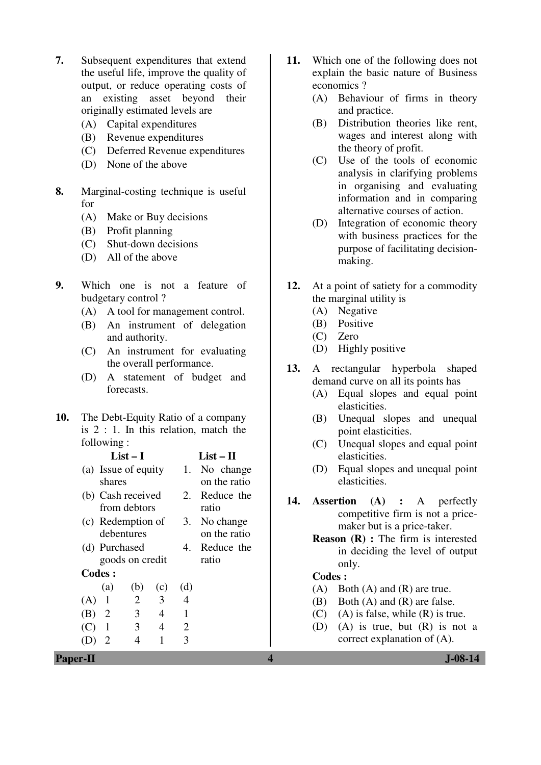- **7.** Subsequent expenditures that extend the useful life, improve the quality of output, or reduce operating costs of an existing asset beyond their originally estimated levels are
	- (A) Capital expenditures
	- (B) Revenue expenditures
	- (C) Deferred Revenue expenditures
	- (D) None of the above
- **8.** Marginal-costing technique is useful for
	- (A) Make or Buy decisions
	- (B) Profit planning
	- (C) Shut-down decisions
	- (D) All of the above
- **9.** Which one is not a feature of budgetary control ?
	- (A) A tool for management control.
	- (B) An instrument of delegation and authority.
	- (C) An instrument for evaluating the overall performance.
	- (D) A statement of budget and forecasts.
- **10.** The Debt-Equity Ratio of a company is 2 : 1. In this relation, match the following :

|     | $List-I$            |     | $List - II$ |                |                  |
|-----|---------------------|-----|-------------|----------------|------------------|
|     | (a) Issue of equity |     |             | 1.             | No change        |
|     | shares              |     |             |                | on the ratio     |
|     | (b) Cash received   |     |             | 2.             | Reduce the       |
|     | from debtors        |     |             |                | ratio            |
|     | (c) Redemption of   |     |             | 3.             | No change        |
|     | debentures          |     |             |                | on the ratio     |
|     | (d) Purchased       |     |             |                | Reduce the<br>4. |
|     | goods on credit     |     |             | ratio          |                  |
|     | <b>Codes:</b>       |     |             |                |                  |
|     | (a)                 | (b) | (c)         | (d)            |                  |
| (A) | 1                   | 2   | 3           | 4              |                  |
| (B) | 2                   | 3   | 4           | 1              |                  |
| (C) |                     | 3   | 4           | $\overline{2}$ |                  |
|     |                     |     |             | 3              |                  |
|     |                     |     |             |                |                  |

- **11.** Which one of the following does not explain the basic nature of Business economics ?
	- (A) Behaviour of firms in theory and practice.
	- (B) Distribution theories like rent, wages and interest along with the theory of profit.
	- (C) Use of the tools of economic analysis in clarifying problems in organising and evaluating information and in comparing alternative courses of action.
	- (D) Integration of economic theory with business practices for the purpose of facilitating decisionmaking.
- **12.** At a point of satiety for a commodity the marginal utility is
	- (A) Negative
	- (B) Positive
	- (C) Zero
	- (D) Highly positive
- **13.** A rectangular hyperbola shaped demand curve on all its points has
	- (A) Equal slopes and equal point elasticities.
	- (B) Unequal slopes and unequal point elasticities.
	- (C) Unequal slopes and equal point elasticities.
	- (D) Equal slopes and unequal point elasticities.
- **14. Assertion (A) :** A perfectly competitive firm is not a pricemaker but is a price-taker.
	- **Reason (R) :** The firm is interested in deciding the level of output only.

## **Codes :**

- (A) Both (A) and (R) are true.
- (B) Both (A) and (R) are false.
- $(C)$  (A) is false, while  $(R)$  is true.
- (D) (A) is true, but (R) is not a correct explanation of (A).

**Paper-II 4 J-08-14**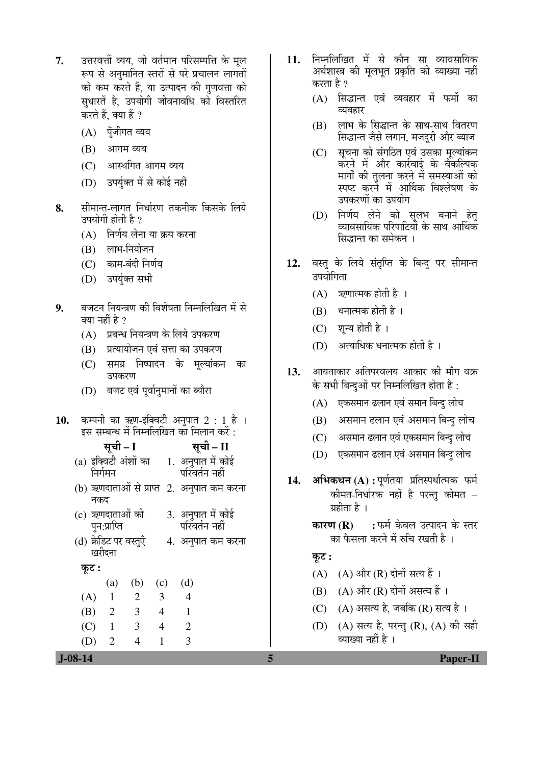- 7. उत्तरवर्त्ती व्यय. जो वर्तमान परिसम्पत्ति के मल रूप से अनुमानित स्तरों से परे प्रचालन लागतों को कम करते हैं, या उत्पादन की गणवत्ता को सुधारतें है. उपयोगी जीवनावधि को विस्तरित करते हैं. क्या हैं ?
	- (A) पूँजीगत व्यय
	- (B) आगम व्यय
	- $(C)$  आस्थगित आगम व्यय
	- (D) उपर्युक्त में से कोई नहीं
- 8. सीमान्त-लागत निर्धारण तकनीक किसके लिये उपयोगी होती है ?
	- (A) निर्णय लेना या क्रय करना
	- $(B)$  लाभ-नियोजन
	- (C) काम-बंदी निर्णय
	- (D) उपर्युक्त सभी
- 9. बजटन नियन्त्रण की विशेषता निम्नलिखित में से क्या नहीं है ?
	- $(A)$  प्रबन्ध नियन्त्रण के लिये उपकरण
	- (B) प्रत्यायोजन एवं सत्ता का उपकरण
	- (C) समग्र निष्पादन के मूल्यांकन का उपकरण
	- (D) बजट एवं पूर्वानुमानों का ब्यौरा
- 10. कम्पनी का ऋण-इक्विटी अनुपात 2 : 1 है । इस सम्बन्ध में निम्नलिखित का मिलान करें :
	- ÃÖæ"Öß **I** ÃÖæ"Öß **II**
	- $(a)$  इक्विटी अंशों का निर्गमन 1. अनुपात में कोई परिवर्तन नहीं
	- (b) ऋणदाताओं से प्राप्त 2. अनुपात कम करना नकद
	- (c) ऋणदाताओं की पुन:प्राप्ति 3. अनुपात में कोई परिवर्तन नहीं
	- (d) क्रेडिट पर वस्तुएँ खरीदना 4. अनुपात कम करना
		- Ûæú™ü **:**
- (a) (b) (c) (d) (A) 1 2 3 4 (B) 2 3 4 1 (C) 1 3 4 2 (D) 2 4 1 3
- 11. निम्नलिखित में से कौन सा व्यावसायिक अर्थशास्त्र को मूलभूत प्रकृति की व्याख्या नहीं करता है ?
	- $(A)$  सिद्धान्त एवं व्यवहार में फर्मों का व्यवहार
	- (B) लाभ के सिद्धान्त के साथ-साथ वितरण सिद्धान्त जैसे लगान. मजदरी और ब्याज
	- (C) सूचना को संगठित एवं उसका मूल्यांकन करने में और कार्रवाई के वैंकल्पिक मार्गों की तुलना करने में समस्याओं को स्पष्ट करने में आर्थिक विश्लेषण के उपकरणों का उपयोग
	- (D) निर्णय लेने को सुलभ बनाने हेत् ्यावसायिक परिपाटियों के साथ आर्थिक सिद्धान्त का समेकन ।
- 12. वस्तु के लिये संतृप्ति के बिन्दु पर सीमान्त उपयोगिता
	- $(A)$  ऋणात्मक होती है ।
	- $(B)$  धनात्मक होती है ।
	- (C) शून्य होती है ।
	- (D) अत्याधिक धनात्मक होती है)।
- 13. आयताकार अतिपरवलय आकार की माँग वक्र के सभी बिन्दुओं पर निम्नलिखित होता है :
	- (A) एकसमान ढलान एवं समान बिन्दु लोच
	- (B) असमान ढलान एवं असमान बिन्दु लोच
	- (C) असमान ढलान एवं एकसमान बिन्दु लोच
	- (D) एकसमान ढलान एवं असमान बिन्दु लोच
- 14. अभिकथन (A) : पूर्णतया प्रतिस्पर्धात्मक फर्म कीमत-निर्धारक नहीं है परन्तु कीमत – ग्रहीता है ।
	- **कारण (R) :** फर्म केवल उत्पादन के स्तर का फैसला करने में रुचि रखती है।

#### कुट :

- $(A)$   $(A)$  और  $(R)$  दोनों सत्य हैं।
- $(B)$   $(A)$  और  $(R)$  दोनों असत्य हैं ।
- (C)  $(A)$  असत्य है, जबकि (R) सत्य है।
- (D) (A) सत्य है, परन्तु (R), (A) की सही व्याख्या नहीं है ।

 **J-08-14 5 Paper-II**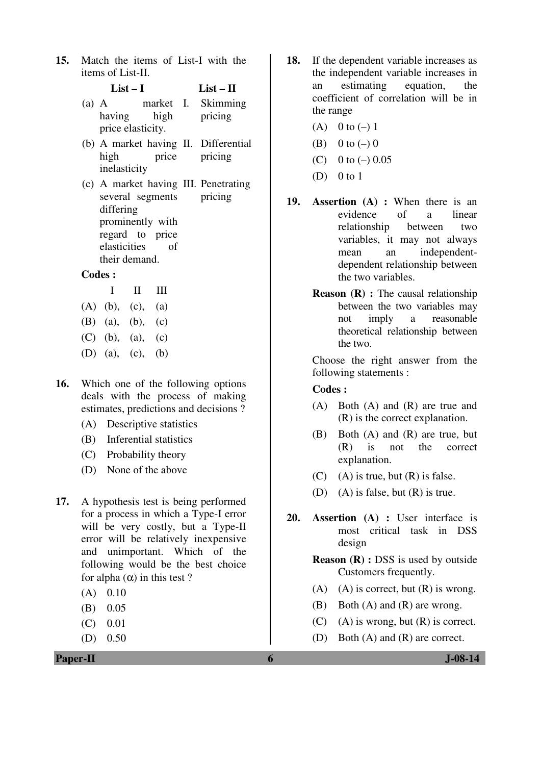**15.** Match the items of List-I with the items of List-II.

| $(a)$ A |                   |             | market I. Skimming |
|---------|-------------------|-------------|--------------------|
|         |                   | having high | pricing            |
|         | price elasticity. |             |                    |

**List – I List – II** 

- (b) A market having II. Differential high price inelasticity pricing
- (c) A market having III. Penetrating several segments differing prominently with regard to price elasticities of their demand. pricing

#### **Codes :**

|  | $\mathbf{1}$ $\mathbf{1}$ $\mathbf{1}$ $\mathbf{1}$ |  |
|--|-----------------------------------------------------|--|
|  | $(A)$ (b), (c), (a)                                 |  |
|  | (B) (a), (b), (c)                                   |  |
|  | $(C)$ (b), (a), (c)                                 |  |
|  | (D) (a), (c), (b)                                   |  |

- **16.** Which one of the following options deals with the process of making estimates, predictions and decisions ?
	- (A) Descriptive statistics
	- (B) Inferential statistics
	- (C) Probability theory
	- (D) None of the above
- **17.** A hypothesis test is being performed for a process in which a Type-I error will be very costly, but a Type-II error will be relatively inexpensive and unimportant. Which of the following would be the best choice for alpha  $(\alpha)$  in this test ?
	- $(A)$  0.10
	- (B) 0.05
	- (C) 0.01
	- (D) 0.50

**Paper-II 6 J-08-14** 

- **18.** If the dependent variable increases as the independent variable increases in an estimating equation, the coefficient of correlation will be in the range
	- (A) 0 to  $(-)$  1
	- (B) 0 to  $(-)$  0
	- (C) 0 to  $(-)$  0.05
	- (D)  $0$  to 1
- **19. Assertion (A) :** When there is an evidence of a linear relationship between two variables, it may not always mean an independentdependent relationship between the two variables.
	- **Reason (R) :** The causal relationship between the two variables may not imply a reasonable theoretical relationship between the two.

 Choose the right answer from the following statements :

#### **Codes :**

- (A) Both (A) and (R) are true and (R) is the correct explanation.
- (B) Both (A) and (R) are true, but (R) is not the correct explanation.
- $(C)$  (A) is true, but  $(R)$  is false.
- (D) (A) is false, but (R) is true.
- **20. Assertion (A) :** User interface is most critical task in DSS design
	- **Reason (R) :** DSS is used by outside Customers frequently.
	- (A) (A) is correct, but  $(R)$  is wrong.
	- (B) Both (A) and (R) are wrong.
	- $(C)$  (A) is wrong, but  $(R)$  is correct.
	- (D) Both (A) and (R) are correct.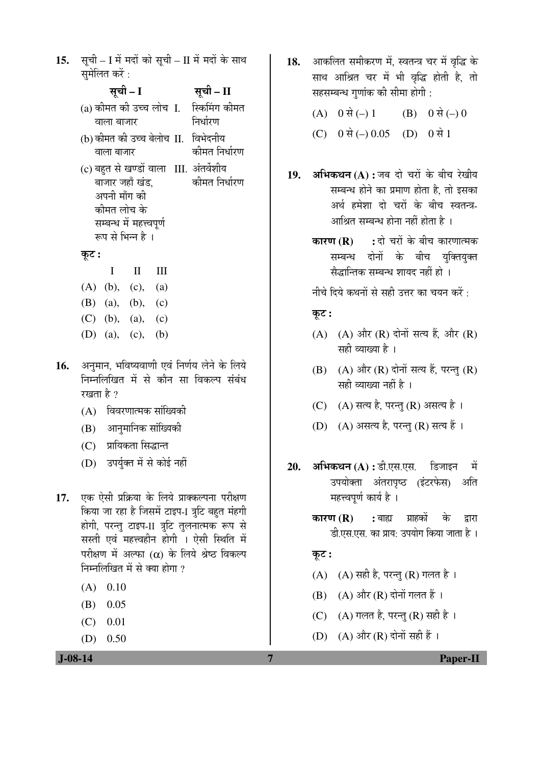15. सूची – I में मदों को सूची – II में मदों के साथ समेलित करें $\,$ :

|       |                          | सूची – I     |     | सूची – II                               |
|-------|--------------------------|--------------|-----|-----------------------------------------|
|       |                          |              |     | (a) कीमत की उच्च लोच I. स्किमिंग कीमत   |
|       | वाला बाजार               |              |     | निर्धारण                                |
|       |                          |              |     | (b) कीमत की उच्च बेलोच II.  विभेदनीय    |
|       | वाला बाजार               |              |     | कीमत निर्धारण                           |
|       |                          |              |     | (c) बहुत से खण्डों वाला III. अंतर्वेशीय |
|       | बाजार जहाँ खंड,          |              |     | कीमत निर्धारण                           |
|       | अपनी माँग की             |              |     |                                         |
|       | कीमत लोच के              |              |     |                                         |
|       | सम्बन्ध में महत्त्वपूर्ण |              |     |                                         |
|       | रूप से भिन्न है ।        |              |     |                                         |
| कूट : |                          |              |     |                                         |
|       | Ι                        | $\mathbf{I}$ | Ш   |                                         |
|       | $(A)$ (b), (c), (a)      |              |     |                                         |
|       | (B) (a), (b), (c)        |              |     |                                         |
|       | (C) (b), (a), (c)        |              |     |                                         |
|       | (D) (a), (c),            |              | (b) |                                         |

- 16. अनुमान, भविष्यवाणी एवं निर्णय लेने के लिये निम्नलिखित में से कौन सा विकल्प संबंध रखता है $\gamma$ 
	- $(A)$  विवरणात्मक सांख्यिकी
	- (B) आनुमानिक सांख्यिकी
	- (C) प्रायिकता सिद्धान्त
	- (D) उपर्यक्त में से कोई नहीं
- 17. **एक ऐसी प्रक्रिया के लिये प्राक्कल्पना** परीक्षण किया जा रहा है जिसमें टाइप-1 त्रूटि बहुत मंहगी होगी, परन्तु टाइप-II त्रुटि तुलनात्मक रूप से सस्ती एवं महत्त्वहीन होगी । ऐसी स्थिति में परीक्षण में अल्फा  $(\alpha)$  के लिये श्रेष्ठ विकल्प निम्नलिखित में से क्या होगा  $\overline{v}$ 
	- $(A)$  0.10
	- (B) 0.05
	- $(C)$  0.01
	- (D) 0.50

- 18. आकलित समीकरण में, स्वतन्त्र चर में वृद्धि के साथ आश्रित चर में भी वृद्धि होती है, तो सहसम्बन्ध गुणांक की सीमा होगी :
	- (A)  $0 \nrightarrow ( ) 1$  (B)  $0 \nrightarrow ( ) 0$
	- (C)  $0 \notin (-) 0.05$  (D)  $0 \notin 1$
- 19. **अभिकथन (A) :** जब दो चरों के बीच रेखीय सम्बन्ध होने का प्रमाण होता है, तो इसका अर्थ हमेशा दो चरों के बीच स्वतन्त्र-आश्रित सम्बन्ध होना नहीं होता है $\pm$ ।
	- **कारण (R) :** दो चरों के बीच कारणात्मक सम्बन्ध दोनों के बीच युक्तियुक्त सैद्धान्तिक सम्बन्ध शायद नहीं हो ।

नीचे दिये कथनों से सही उत्तर का चयन करें:

कूट :

- $(A)$   $(A)$  और  $(R)$  दोनों सत्य हैं, और  $(R)$ सही व्याख्या है ।
- $(B)$   $(A)$  और  $(R)$  दोनों सत्य हैं, परन्तु  $(R)$ सही व्याख्या नहीं है ।
- (C)  $(A)$  सत्य है, परन्तु (R) असत्य है।
- (D) (A) असत्य है, परन्तु (R) सत्य हैं।
- 20. अभिकथन (A) : डी.एस.एस. डिजाइन में उपयोक्ता अंतरापृष्ठ (इंटरफेस) अति महत्त्वपर्ण कार्य है।
	- **कारण (R) :** बाह्य ग्राहकों के द्वारा डी.एस.एस. का प्राय: उपयोग किया जाता है ।

 $\overline{\phi}$ :

- $(A)$   $(A)$  सही है, परन्तु  $(R)$  गलत है।
- $(B)$   $(A)$  और  $(R)$  दोनों गलत हैं ।
- (C)  $(A)$  गलत है, परन्तु (R) सही है।
- (D)  $(A)$  और  $(R)$  दोनों सही हैं ।

 **J-08-14 7 Paper-II**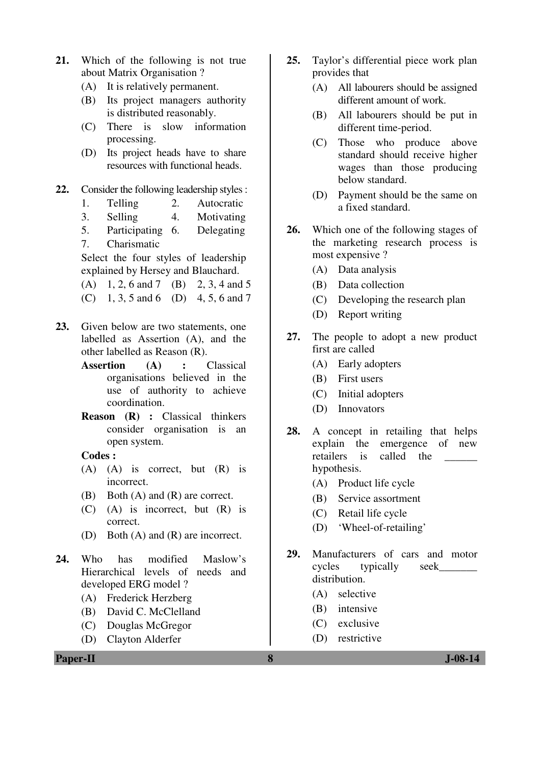- **21.** Which of the following is not true about Matrix Organisation ?
	- (A) It is relatively permanent.
	- (B) Its project managers authority is distributed reasonably.
	- (C) There is slow information processing.
	- (D) Its project heads have to share resources with functional heads.
- **22.** Consider the following leadership styles :
	- 1. Telling 2. Autocratic
	- 3. Selling 4. Motivating
	- 5. Participating 6. Delegating
	- 7. Charismatic

 Select the four styles of leadership explained by Hersey and Blauchard.

- (A) 1, 2, 6 and 7 (B) 2, 3, 4 and 5
- (C) 1, 3, 5 and 6 (D) 4, 5, 6 and 7
- **23.** Given below are two statements, one labelled as Assertion (A), and the other labelled as Reason (R).
	- **Assertion (A) :** Classical organisations believed in the use of authority to achieve coordination.
	- **Reason (R) :** Classical thinkers consider organisation is an open system.

#### **Codes :**

- (A) (A) is correct, but (R) is incorrect.
- (B) Both (A) and (R) are correct.
- (C) (A) is incorrect, but (R) is correct.
- (D) Both (A) and (R) are incorrect.
- **24.** Who has modified Maslow's Hierarchical levels of needs and developed ERG model ?
	- (A) Frederick Herzberg
	- (B) David C. McClelland
	- (C) Douglas McGregor
	- (D) Clayton Alderfer

**25.** Taylor's differential piece work plan provides that

- (A) All labourers should be assigned different amount of work.
- (B) All labourers should be put in different time-period.
- (C) Those who produce above standard should receive higher wages than those producing below standard.
- (D) Payment should be the same on a fixed standard.
- **26.** Which one of the following stages of the marketing research process is most expensive ?
	- (A) Data analysis
	- (B) Data collection
	- (C) Developing the research plan
	- (D) Report writing
- **27.** The people to adopt a new product first are called
	- (A) Early adopters
	- (B) First users
	- (C) Initial adopters
	- (D) Innovators
- **28.** A concept in retailing that helps explain the emergence of new retailers is called the hypothesis.
	- (A) Product life cycle
	- (B) Service assortment
	- (C) Retail life cycle
	- (D) 'Wheel-of-retailing'
- **29.** Manufacturers of cars and motor cycles typically seek\_\_\_\_\_\_\_ distribution.
	- (A) selective
	- (B) intensive
	- (C) exclusive
	- (D) restrictive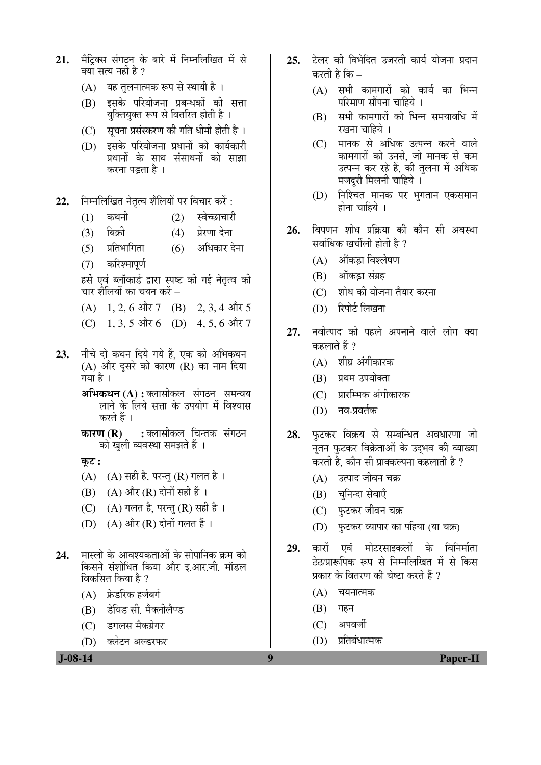- 21. मैटिक्स संगठन के बारे में निम्नलिखित में से क्या सत्य नहीं है ?
	- (A) यह तुलनात्मक रूप से स्थायी है।
	- $(B)$  इसके परियोजना प्रबन्धकों की सत्ता यक्तियुक्त रूप से वितरित होती है ।
	- $(C)$  सचना प्रसंस्करण की गति धीमी होती है)।
	- $(D)$  इसके परियोजना प्रधानों को कार्यकारी प्रधानों के साथ संसाधनों को साझा करना पडता है ।
- 22. निम्नलिखित नेतृत्व शैलियों पर विचार करें:
	- $(1)$  कथनी  $(2)$  स्वेच्छाचारी
	- (3) बिक्री (4) प्रेरणा देना
	- $(5)$  प्रतिभागिता  $(6)$  अधिकार देना
	- $(7)$  करिश्मापर्ण

हर्से एवं ब्लॉकार्ड द्वारा स्पष्ट की गई नेतृत्व की चार शैलियों का चयन करें –

(A)  $1, 2, 6$  और  $7$  (B)  $2, 3, 4$  और  $5$ 

- (C) 1, 3, 5 और 6 (D) 4, 5, 6 और 7
- 23. नीचे दो कथन दिये गये हैं. एक को अभिकथन  $(A)$  और दसरे को कारण  $(R)$  का नाम दिया गया है ।
	- **अभिकथन (A) :** क्लासीकल संगठन समन्वय लाने के लिये सत्ता के उपयोग में विश्वास करते हैं ।

**कारण (R) :** क्लासीकल चिन्तक संगठन को खली व्यवस्था समझते हैं ।

कट :

- $(A)$   $(A)$  सही है, परन्तु  $(R)$  गलत है।
- $(B)$   $(A)$  और  $(R)$  दोनों सही हैं ।
- (C)  $(A)$  गलत है, परन्त (R) सही है।
- (D)  $(A)$  और  $(R)$  दोनों गलत हैं ।
- **24.** मास्लो के आवश्यकताओं के सोपानिक क्रम को किसने संशोधित किया और इ.आर.जी. मॉडल विकसित किया है ?
	- $(A)$  फ्रेडरिक हर्जबर्ग
	- (B) डेविड सी. मैक्लीलैण्ड
	- (C) डगलस मैकग्रेगर
	- (D) क्लेटन अल्डरफर

 **J-08-14 9 Paper-II**

- 25. टेलर की विभेदित उजरती कार्य योजना प्रदान करती है कि $-$ 
	- $(A)$  सभी कामगारों को कार्य का भिन्न परिमाण सौंपना चाहिये ।
	- $(B)$  सभी कामगारों को भिन्न समयावधि में  $\overline{v}$ ग्वना चाहिये ।
	- (C) मानक से अधिक उत्पन्न करने वाले ॅकामगारों को उनसे<sub>.</sub> जो मानक से कम उत्पन्न कर रहे हैं, की तुलना में अधिक `मजदरी मिलनी चाहिये ।
	- (D) निश्चित मानक पर भगतान एकसमान  $\overline{E}$ ोना चाहिये ।
- 26. विपणन शोध प्रक्रिया की कौन सी अवस्था सर्वाधिक खर्चीली होती है  $\overline{v}$ 
	- $(A)$  ऑकडा विश्लेषण
	- (B) औंकड़ा संग्रह
	- (C) शोध की योजना तैयार करना
	- (D) रिपोर्ट लिखना
- 27. नवोत्पाद को पहले अपनाने वाले लोग क्या कहलाते हैं ?
	- $(A)$  शीघ्र अंगीकारक
	- (B) प्रथम उपयोक्ता
	- $(C)$  प्रारम्भिक अंगीकारक
	- (D) नव-प्रवर्तक
- 28. फुटकर विक्रय से सम्बन्धित अवधारणा जो नुतन फुटकर विक्रेताओं के उदमव की व्याख्या करती है. कौन सी प्राक्कल्पना कहलाती है ?
	- (A) उत्पाद जीवन चक्र
	- (B) चनिन्दा सेवाएँ
	- $(C)$  फटकर जीवन चक्र
	- (D) फुटकर व्यापार का पहिया (या चक्र)
- 29. कारों एवं मोटरसाइकलों के विनिर्माता ठेठ/प्रारूपिक रूप से निम्नलिखित में से किस प्रकार के वितरण की चेष्टा करते हैं ?
	- $(A)$  चयनात्मक
	- $(B)$  गहन
	- $(C)$  अपवर्जी
	- (D) प्रतिबंधात्मक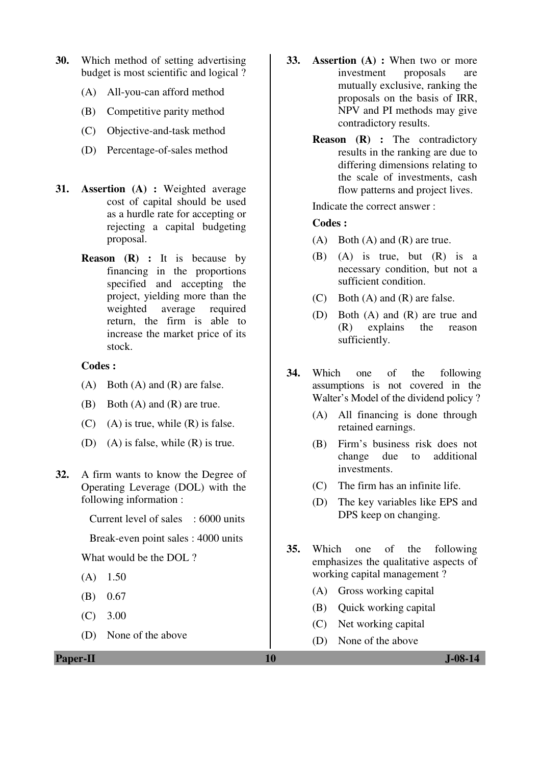- **30.** Which method of setting advertising budget is most scientific and logical ?
	- (A) All-you-can afford method
	- (B) Competitive parity method
	- (C) Objective-and-task method
	- (D) Percentage-of-sales method
- **31. Assertion (A) :** Weighted average cost of capital should be used as a hurdle rate for accepting or rejecting a capital budgeting proposal.
	- **Reason (R) :** It is because by financing in the proportions specified and accepting the project, yielding more than the weighted average required return, the firm is able to increase the market price of its stock.

#### **Codes :**

- (A) Both (A) and (R) are false.
- (B) Both (A) and (R) are true.
- $(C)$  (A) is true, while  $(R)$  is false.
- (D) (A) is false, while (R) is true.
- **32.** A firm wants to know the Degree of Operating Leverage (DOL) with the following information :

Current level of sales : 6000 units

Break-even point sales : 4000 units

What would be the DOL ?

- $(A)$  1.50
- (B) 0.67
- (C) 3.00
- (D) None of the above

**Paper-II** J-08-14

- **33. Assertion (A) :** When two or more investment proposals are mutually exclusive, ranking the proposals on the basis of IRR, NPV and PI methods may give contradictory results.
	- **Reason (R) :** The contradictory results in the ranking are due to differing dimensions relating to the scale of investments, cash flow patterns and project lives.

Indicate the correct answer :

## **Codes :**

- (A) Both (A) and (R) are true.
- (B) (A) is true, but (R) is a necessary condition, but not a sufficient condition.
- (C) Both (A) and (R) are false.
- (D) Both (A) and (R) are true and (R) explains the reason sufficiently.
- **34.** Which one of the following assumptions is not covered in the Walter's Model of the dividend policy ?
	- (A) All financing is done through retained earnings.
	- (B) Firm's business risk does not change due to additional investments.
	- (C) The firm has an infinite life.
	- (D) The key variables like EPS and DPS keep on changing.
- **35.** Which one of the following emphasizes the qualitative aspects of working capital management ?
	- (A) Gross working capital
	- (B) Quick working capital
	- (C) Net working capital
	- (D) None of the above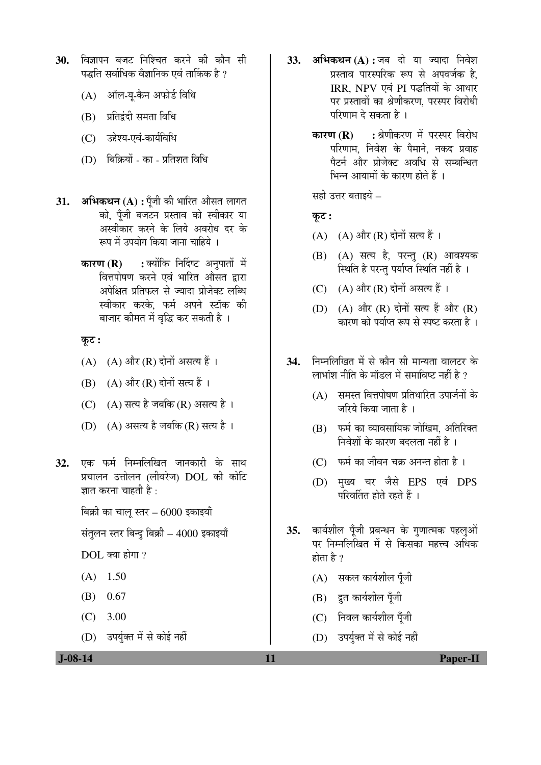- 30. विज्ञापन बजट निश्चित करने की कौन सी पद्धति सर्वाधिक वैज्ञानिक एवं तार्किक है ?
	- (A) ऑल-यू-कैन अफोर्ड विधि
	- $(B)$  प्रतिद्वंदी समता विधि
	- (C) उद्देश्य-एवं-कार्यविधि
	- $(D)$  बिक्रियों का प्रतिशत विधि
- 31. **अभिकथन** (A) : पूँजी की भारित औसत लागत को, पँजी बजटन प्रस्ताव को स्वीकार या अस्वीकार करने के लिये अवरोध दर के रूप में उपयोग किया जाना चाहिये ।
	- **कारण (R) :** क्योंकि निर्दिष्ट अनुपातों में वित्तपोषण करने एवं भारित औसत द्वारा अपेक्षित प्रतिफल से ज्यादा प्रोजेक्ट लब्धि स्वीकार करके. फर्म अपने स्टॉक की बाजार कीमत में वृद्धि कर सकती है ।

Ûæú™ü **:** 

- $(A)$   $(A)$  और  $(R)$  दोनों असत्य हैं।
- $(B)$   $(A)$  और  $(R)$  दोनों सत्य हैं ।
- (C)  $(A)$  सत्य है जबकि (R) असत्य है।
- (D)  $(A)$  असत्य है जबकि (R) सत्य है।
- **32.** एक फर्म निम्नलिखित जानकारी के साथ प्रचालन उत्तोलन (लीवरेज) DOL की कोटि ज्ञात करना चाहती है :

बिक्री का चालू स्तर – 6000 इकाइयाँ

संतुलन स्तर बिन्दु बिक्री –  $4000$  इकाइयाँ

 $DOL$  क्या होगा ?

- $(A)$  1.50
- (B) 0.67
- (C) 3.00
- (D) उपर्युक्त में से कोई नहीं
- **33. अभिकथन (A) :** जब दो या ज्यादा निवेश प्रस्ताव पारस्परिक रूप से अपवर्जक है. IRR, NPV एवं PI पद्धतियों के आधार पर प्रस्तावों का श्रेणीकरण. परस्पर विरोधी परिणाम दे सकता है ।
	- **कारण (R) :** श्रेणीकरण में परस्पर विरोध परिणाम. निवेश के पैमाने, नकद प्रवाह पैटर्न और प्रोजेक्ट अवधि से सम्बन्धित भिन्न आयामों के कारण होते हैं ।

सही उत्तर बताइये –

## कट:

- (A) (A) और (R) दोनों सत्य हैं ।
- $(B)$   $(A)$  सत्य है, परन्तु  $(R)$  आवश्यक स्थिति है परन्तु पर्याप्त स्थिति नहीं है ।
- (C)  $(A)$  और (R) दोनों असत्य हैं ।
- (D)  $(A)$  और  $(R)$  दोनों सत्य हैं और  $(R)$ <u>कारण को पर्याप्त रूप से स्पष्ट करता है</u> ।
- **34.** निम्नलिखित में से कौन सी मान्यता वालटर के लाभांश नीति के मॉडल में समाविष्ट नहीं है  $\overline{v}$ 
	- $(A)$  समस्त वित्तपोषण प्रतिधारित उपार्जनों के जरिये किया जाता है ।
	- $(B)$  फर्म का व्यावसायिक जोखिम. अतिरिक्त निवेशों के कारण बदलता नहीं है।
	- $(C)$  फर्म का जीवन चक्र अनन्त होता है।
	- (D) मुख्य चर जैसे EPS एवं DPS परिवर्तित होते रहते हैं ।
- **35.** कार्यशील पूँजी प्रबन्धन के गुणात्मक पहलुओं पर निम्नलिखित में से किसका महत्त्व अधिक होता है ?
	- (A) सकल कार्यशील पूँजी
	- $(B)$  द्रुत कार्यशील पूँजी
	- (C) निवल कार्यशील पूँजी
	- (D) उपर्युक्त में से कोई नहीं

 **J-08-14 11 Paper-II**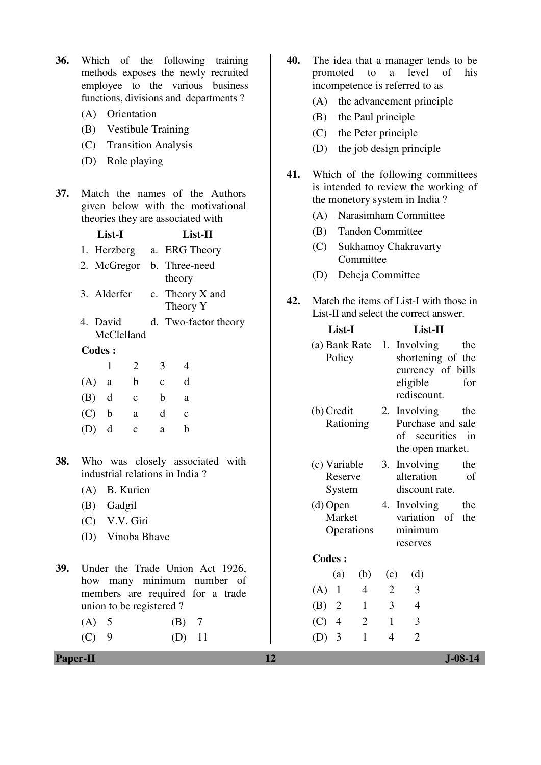- **36.** Which of the following training methods exposes the newly recruited employee to the various business functions, divisions and departments ?
	- (A) Orientation
	- (B) Vestibule Training
	- (C) Transition Analysis
	- (D) Role playing
- **37.** Match the names of the Authors given below with the motivational theories they are associated with

|     | List-I                    |                        |                             | List-II                 |                                |                                                                                                   |  |
|-----|---------------------------|------------------------|-----------------------------|-------------------------|--------------------------------|---------------------------------------------------------------------------------------------------|--|
|     | 1. Herzberg a. ERG Theory |                        |                             |                         |                                |                                                                                                   |  |
|     | 2. McGregor b. Three-need |                        | theory                      |                         |                                |                                                                                                   |  |
|     | 3. Alderfer               |                        | c. Theory X and<br>Theory Y |                         |                                |                                                                                                   |  |
|     |                           | 4. David<br>McClelland |                             |                         | d. Two-factor theory           |                                                                                                   |  |
|     | <b>Codes:</b>             |                        |                             |                         |                                |                                                                                                   |  |
|     |                           | $\mathbf{1}$           | 2                           | $\mathfrak{Z}$          | $\overline{4}$                 |                                                                                                   |  |
|     |                           | $(A)$ a b              |                             | $c$ d                   |                                |                                                                                                   |  |
|     |                           | $(B)$ d c              |                             | $\mathbf{b}$            | a                              |                                                                                                   |  |
|     | $(C)$ b                   |                        | a                           | d                       | $\mathbf{c}$                   |                                                                                                   |  |
|     | $(D)$ d                   |                        | $\mathbf{C}$                | a                       | $\mathbf b$                    |                                                                                                   |  |
| 38. |                           |                        |                             |                         | industrial relations in India? | Who was closely associated with                                                                   |  |
|     |                           |                        | (A) B. Kurien               |                         |                                |                                                                                                   |  |
|     |                           | (B) Gadgil             |                             |                         |                                |                                                                                                   |  |
|     |                           |                        | (C) V.V. Giri               |                         |                                |                                                                                                   |  |
|     |                           |                        | (D) Vinoba Bhave            |                         |                                |                                                                                                   |  |
| 39. |                           |                        |                             | union to be registered? |                                | Under the Trade Union Act 1926,<br>how many minimum number of<br>members are required for a trade |  |
|     | $(A)$ 5                   |                        |                             |                         | $(B)$ 7                        |                                                                                                   |  |

 $(D)$  11

| <b>Paper-II</b> | $J-08-14$ |
|-----------------|-----------|
|                 |           |

- **40.** The idea that a manager tends to be promoted to a level of his incompetence is referred to as
	- (A) the advancement principle
	- (B) the Paul principle
	- (C) the Peter principle
	- (D) the job design principle
- **41.** Which of the following committees is intended to review the working of the monetory system in India ?
	- (A) Narasimham Committee
	- (B) Tandon Committee
	- (C) Sukhamoy Chakravarty Committee
	- (D) Deheja Committee
- **42.** Match the items of List-I with those in List-II and select the correct answer.

|                                      | List-I         |                |                         | $List-II$                                            |
|--------------------------------------|----------------|----------------|-------------------------|------------------------------------------------------|
| (a) Bank Rate 1. Involving<br>Policy |                |                | eligible<br>rediscount. | the<br>shortening of the<br>currency of bills<br>for |
| (b) Credit                           |                |                | 2. Involving            | the                                                  |
|                                      | Rationing      |                | of securities           | Purchase and sale<br>in                              |
|                                      |                |                | the open market.        |                                                      |
| (c) Variable                         |                |                | 3. Involving            | the                                                  |
| Reserve                              |                |                | alteration              | of                                                   |
| System                               |                |                | discount rate.          |                                                      |
|                                      | $(d)$ Open     |                | 4. Involving            | the                                                  |
| Market                               | Operations     |                | variation of<br>minimum | the                                                  |
|                                      |                |                | reserves                |                                                      |
| <b>Codes:</b>                        |                |                |                         |                                                      |
| (a)                                  | (b)            | (c)            | (d)                     |                                                      |
| (A)<br>1                             | 4              | $\overline{2}$ | 3                       |                                                      |
| (B) 2                                | $\mathbf{1}$   | $\overline{3}$ | $\overline{4}$          |                                                      |
| $(C)$ 4                              | $\overline{2}$ | 1              | 3                       |                                                      |
| 3<br>(D)                             | 1              | 4              | $\overline{2}$          |                                                      |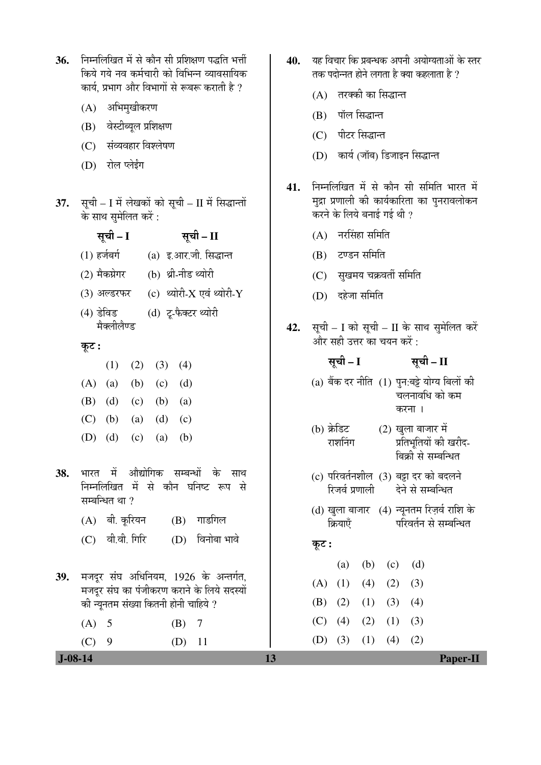| 37.       | कार्य, प्रभाग और विभागों से रूबरू कराती है ?<br>अभिमुखीकरण<br>(A)<br>वेस्टीब्यूल प्रशिक्षण<br>(B)<br>संव्यवहार विश्लेषण<br>(C)<br>रोल प्लेईंग<br>(D)<br>सूची – I में लेखकों को सूची – II में सिद्धान्तों<br>के साथ सुमेलित करें:<br>सूची – I<br>सूची – II<br>(1) हर्जबर्ग<br>(a) इ.आर.जी. सिद्धान्त | 41. | तरक्की का सिद्धान्त<br>(A)<br>पॉल सिद्धान्त<br>(B)<br>पीटर सिद्धान्त<br>(C)<br>कार्य (जॉब) डिजाइन सिद्धान्त<br>(D)<br>निम्नलिखित में से कौन सी समिति भारत में<br>मुद्रा प्रणाली की कार्यकारिता का पुनरावलोकन<br>करने के लिये बनाई गई थी ?<br>नरसिंहा समिति<br>(A)<br>टण्डन समिति<br>(B) |
|-----------|-----------------------------------------------------------------------------------------------------------------------------------------------------------------------------------------------------------------------------------------------------------------------------------------------------|-----|-----------------------------------------------------------------------------------------------------------------------------------------------------------------------------------------------------------------------------------------------------------------------------------------|
|           | (2) मैकग्रेगर<br>(b) थ्री-नीड थ्योरी<br>(3) अल्डरफर (c) थ्योरी-X एवं थ्योरी-Y<br>(4) डेविड<br>(d) टू-फैक्टर थ्योरी                                                                                                                                                                                  |     | सुखमय चक्रवर्ती समिति<br>(C)<br>दहेजा समिति<br>(D)                                                                                                                                                                                                                                      |
|           | मैक्लीलैण्ड<br>कूट :                                                                                                                                                                                                                                                                                | 42. | सूची – I को सूची – II के साथ सुमेलित करें<br>और सही उत्तर का चयन करें :                                                                                                                                                                                                                 |
|           | (1)<br>(2)<br>(3)<br>(4)<br>(A)<br>(b)<br>(a)<br>(c)<br>(d)<br>(B)<br>(d)<br>(c)<br>(b)<br>(a)<br>(C)<br>(b)<br>(d)<br>(a)<br>(c)<br>(D)<br>(d)<br>(c)<br>(a)<br>(b)                                                                                                                                |     | सूची – I<br>सूची – II<br>(a) बैंक दर नीति (1) पुन:बट्टे योग्य बिलों की<br>चलनावधि को कम<br>करना ।<br>(b) क्रेडिट<br>(2) खुला बाजार में<br>प्रतिभूतियों की खरीद-<br>राशनिंग<br>बिक्री से सम्बन्धित                                                                                       |
| 38.       | औद्योगिक सम्बन्धों के साथ<br>- में<br>भारत<br>निम्नलिखित में से कौन घनिष्ट रूप से<br>सम्बन्धित था ?<br>गाडगिल<br>बी. कूरियन<br>(B)<br>(A)                                                                                                                                                           |     | (c) परिवर्तनशील (3) बट्टा दर को बदलने<br>रिजर्व प्रणाली देने से सम्बन्धित<br>(d) खुला बाजार (4) न्यूनतम रिज़र्व राशि के<br>परिवर्तन से सम्बन्धित<br>क्रियाएँ                                                                                                                            |
|           | वी.वी. गिरि<br>विनोबा भावे<br>(C)<br>(D)                                                                                                                                                                                                                                                            |     | कूट :                                                                                                                                                                                                                                                                                   |
| 39.       | मजदूर संघ अधिनियम, 1926 के अन्तर्गत,<br>मजदूर संघ का पंजीकरण कराने के लिये सदस्यों<br>की न्यूनतम संख्या कितनी होनी चाहिये ?                                                                                                                                                                         |     | (d)<br>(b)<br>(c)<br>(a)<br>(1)<br>(4)<br>(2)<br>(3)<br>(A)<br>(2)<br>(1)<br>(3)<br>(4)<br>(B)                                                                                                                                                                                          |
| $J-08-14$ | (A)<br>5<br>(B)<br>7<br>(C)<br>9<br>(D)<br>11                                                                                                                                                                                                                                                       | 13  | (4)<br>(2)<br>(1)<br>(3)<br>(C)<br>(3)<br>(1)<br>(4)<br>(2)<br>(D)<br>Paper-II                                                                                                                                                                                                          |
|           |                                                                                                                                                                                                                                                                                                     |     |                                                                                                                                                                                                                                                                                         |

 $\begin{array}{c} \hline \end{array}$ 

40. यह विचार कि प्रबन्धक अपनी अयोग्यताओं के स्तर तक पदोन्नत होने लगता है क्या कहलाता है ?

36. FETHलिखित में से कौन सी प्रशिक्षण पद्धति भर्त्ती → www.amedia.com www.heelowide.com<br>किये गये नव कर्मचारी को विभिन्न व्यावसायिक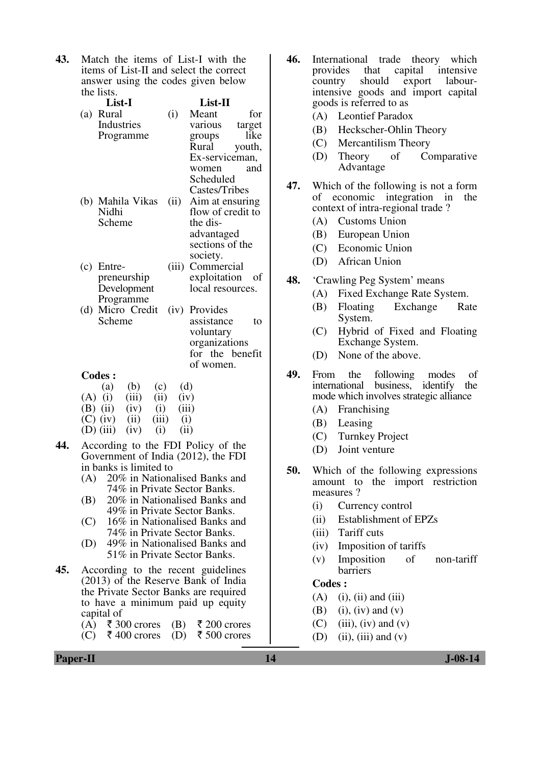**43.** Match the items of List-I with the items of List-II and select the correct answer using the codes given below the lists.

|     | List-I               |       | List-II                          |        |
|-----|----------------------|-------|----------------------------------|--------|
|     | (a) Rural            | (i)   | Meant                            | for    |
|     | Industries           |       | various                          | target |
|     | Programme            |       | groups                           | like   |
|     |                      |       | Rural                            | youth, |
|     |                      |       | Ex-serviceman,                   |        |
|     |                      |       | women                            | and    |
|     |                      |       | Scheduled                        |        |
|     |                      |       | Castes/Tribes                    |        |
|     | (b) Mahila Vikas     | (ii)  | Aim at ensuring                  |        |
|     | Nidhi                |       | flow of credit to                |        |
|     | Scheme               |       | the dis-                         |        |
|     |                      |       | advantaged                       |        |
|     |                      |       | sections of the                  |        |
|     |                      |       | society.                         |        |
|     | $(c)$ Entre-         | (iii) | Commercial                       |        |
|     | preneurship          |       | exploitation                     | οf     |
|     | Development          |       | local resources.                 |        |
|     | Programme            |       |                                  |        |
|     | (d) Micro Credit     | (iv)  | Provides                         |        |
|     | Scheme               |       | assistance                       | to     |
|     |                      |       | voluntary                        |        |
|     |                      |       | organizations<br>for the benefit |        |
|     |                      |       | of women.                        |        |
|     | <b>Codes:</b>        |       |                                  |        |
|     | (a)<br>(b)<br>(c)    |       | (d)                              |        |
| (A) | (iii)<br>(ii)<br>(i) |       | (iv)                             |        |
| (B) | (i)<br>(ii)<br>(iv)  |       | (iii)                            |        |
|     |                      |       |                                  |        |

- $(C)$  (iv) (ii) (iii) (i)  $(D)$  (iii) (iv) (i) (ii)
- **44.** According to the FDI Policy of the Government of India (2012), the FDI in banks is limited to
	- (A) 20% in Nationalised Banks and 74% in Private Sector Banks.
	- (B) 20% in Nationalised Banks and 49% in Private Sector Banks.
	- (C) 16% in Nationalised Banks and 74% in Private Sector Banks.
	- (D) 49% in Nationalised Banks and 51% in Private Sector Banks.
- **45.** According to the recent guidelines (2013) of the Reserve Bank of India the Private Sector Banks are required to have a minimum paid up equity capital of
	- (A)  $\bar{\tau}$  300 crores (B)  $\bar{\tau}$  200 crores
	- $(C)$   $\bar{\tau}$  400 crores (D)  $\bar{\tau}$  500 crores
- **46.** International trade theory which provides that capital intensive that capital intensive<br>should export labour $country$  should export intensive goods and import capital goods is referred to as
	- (A) Leontief Paradox
	- (B) Heckscher-Ohlin Theory
	- (C) Mercantilism Theory
	- (D) Theory of Comparative Advantage
- **47.** Which of the following is not a form of economic integration in the context of intra-regional trade ?
	- (A) Customs Union
	- (B) European Union
	- (C) Economic Union
	- (D) African Union
- **48.** 'Crawling Peg System' means
	- (A) Fixed Exchange Rate System.
	- (B) Floating Exchange Rate System.
	- (C) Hybrid of Fixed and Floating Exchange System.
	- (D) None of the above.
- **49.** From the following modes of international business, identify the mode which involves strategic alliance
	- (A) Franchising
	- (B) Leasing
	- (C) Turnkey Project
	- (D) Joint venture
- **50.** Which of the following expressions amount to the import restriction measures ?
	- (i) Currency control
	- (ii) Establishment of EPZs
	- (iii) Tariff cuts
	- (iv) Imposition of tariffs
	- (v) Imposition of non-tariff barriers

## **Codes :**

- $(A)$  (i), (ii) and (iii)
- $(B)$  (i), (iv) and (v)
- $(C)$  (iii), (iv) and (v)
- $(D)$  (ii), (iii) and  $(v)$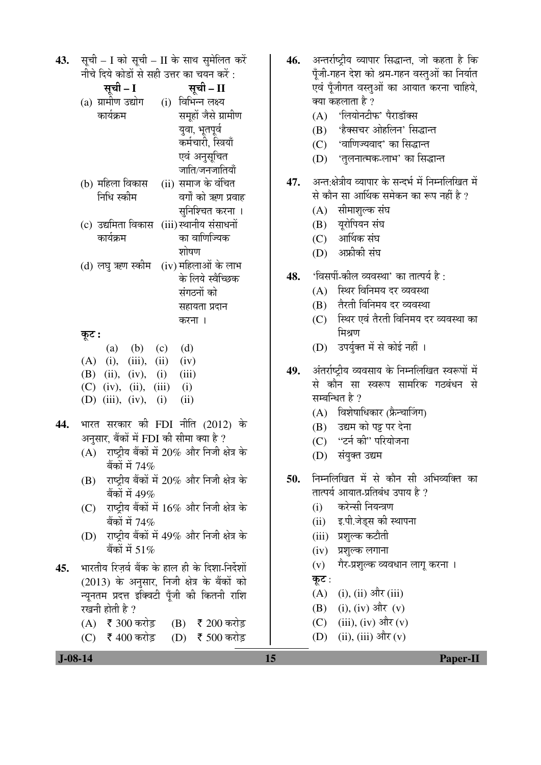|     | 43. सूची - I को सूची - II के साथ सुमेलित करें      |  |
|-----|----------------------------------------------------|--|
|     | नीचे दिये कोडों से सही उत्तर का चयन करें :         |  |
|     | सूची – II<br>सूची – I                              |  |
|     | (a) ग्रामीण उद्योग (i) विभिन्न लक्ष्य              |  |
|     | कार्यक्रम<br>समूहों जैसे ग्रामीण                   |  |
|     | युवा, भूतपूर्व                                     |  |
|     | कर्मचारी, स्त्रियाँ                                |  |
|     | एवं अनुसूचित                                       |  |
|     | जाति/जनजातियाँ                                     |  |
|     | (b) महिला विकास    (ii) समाज के वंचित              |  |
|     | निधि स्कीम<br>वर्गों को ऋण प्रवाह                  |  |
|     | सुनिश्चित करना ।                                   |  |
|     | (c) उद्यमिता विकास (iii)स्थानीय संसाधनों           |  |
|     | कार्यक्रम<br>का वाणिज्यिक                          |  |
|     | शोषण                                               |  |
|     | (d) लघु ऋण स्कीम (iv) महिलाओं के लाभ               |  |
|     | के लिये स्वैच्छिक                                  |  |
|     | संगठनों को                                         |  |
|     | सहायता प्रदान                                      |  |
|     | करना ।                                             |  |
|     | कूट :                                              |  |
|     | (a) (b) (c) (d)                                    |  |
|     | $(A)$ (i), (iii), (ii) (iv)                        |  |
|     | (B) (ii), (iv), (i) (iii)                          |  |
|     | $(C)$ (iv), (ii), (iii) (i)                        |  |
|     | (D) (iii), (iv), (i)<br>(ii)                       |  |
|     |                                                    |  |
| 44. | भारत सरकार की FDI नीति (2012) के                   |  |
|     | अनुसार, बैंकों में FDI की सीमा क्या है ?           |  |
|     | $(A)$ राष्ट्रीय बैंकों में 20% और निजी क्षेत्र के  |  |
|     | बैंकों में 74%                                     |  |
|     | $(B)$ राष्ट्रीय बैंकों में 20% और निजी क्षेत्र के  |  |
|     | बैंकों में 49%                                     |  |
|     | राष्ट्रीय बैंकों में 16% और निजी क्षेत्र के<br>(C) |  |
|     | बैंकों में 74%                                     |  |
|     | (D) राष्ट्रीय बैंकों में 49% और निजी क्षेत्र के    |  |
|     | बैंकों में 51%                                     |  |
| 45. | भारतीय रिज़र्व बैंक के हाल ही के दिशा-निर्देशों    |  |
|     | (2013) के अनुसार, निजी क्षेत्र के बैंकों को        |  |
|     | न्यूनतम प्रदत्त इक्विटी पूँजी की कितनी राशि        |  |
|     | रखनी होती है ?                                     |  |
|     | (A) ₹ 300 करोड़<br>$(B)$ ₹ 200 करोड़               |  |
|     | (C) ₹ 400 करोड़<br>(D) ₹ 500 करोड़                 |  |

| 46. |       | अन्तर्राष्ट्रीय व्यापार सिद्धान्त, जो कहता है कि<br>पूँजी-गहन देश को श्रम-गहन वस्तुओं का निर्यात<br>एवं पूँजीगत वस्तुओं का आयात करना चाहिये, |
|-----|-------|----------------------------------------------------------------------------------------------------------------------------------------------|
|     |       | क्या कहलाता है ?                                                                                                                             |
|     | (A)   | 'लियोनटीफ' पैराडॉक्स                                                                                                                         |
|     |       | (B) 'हैक्सचर ओहलिन' सिद्धान्त<br>(C) 'वाणिज्यवाद' का सिद्धान्त                                                                               |
|     |       | (D) 'तुलनात्मक-लाभ' का सिद्धान्त                                                                                                             |
|     |       |                                                                                                                                              |
| 47. |       | अन्त:क्षेत्रीय व्यापार के सन्दर्भ में निम्नलिखित में                                                                                         |
|     |       | से कौन सा आर्थिक समेकन का रूप नहीं है ?                                                                                                      |
|     |       | (A) सीमाशुल्क संघ                                                                                                                            |
|     |       | (B) यूरोपियन संघ                                                                                                                             |
|     |       | (C) आर्थिक संघ                                                                                                                               |
|     |       | (D) अफ्रीकी संघ                                                                                                                              |
| 48. |       | 'विसर्पी-कील व्यवस्था' का तात्पर्य है :                                                                                                      |
|     |       | (A) स्थिर विनिमय दर व्यवस्था                                                                                                                 |
|     |       | (B) तैरती विनिमय दर व्यवस्था                                                                                                                 |
|     | (C)   | स्थिर एवं तैरती विनिमय दर व्यवस्था का                                                                                                        |
|     |       | मिश्रण                                                                                                                                       |
|     |       | (D) उपर्युक्त में से कोई नहीं ।                                                                                                              |
| 49. |       | अंतर्राष्ट्रीय व्यवसाय के निम्नलिखित स्वरूपों में                                                                                            |
|     |       | से कौन सा स्वरूप सामरिक गठबंधन से                                                                                                            |
|     |       | सम्बन्धित है ?                                                                                                                               |
|     |       | (A) विशेषाधिकार (फ्रैन्चाजिंग)                                                                                                               |
|     |       | (B) उद्यम को पट्ट पर देना                                                                                                                    |
|     |       | (C) "टर्न की" परियोजना                                                                                                                       |
|     |       | (D) संयुक्त उद्यम                                                                                                                            |
| 50. |       | निम्नलिखित में से कौन सी अभिव्यक्ति का                                                                                                       |
|     |       | तात्पर्य आयात-प्रतिबंध उपाय है ?                                                                                                             |
|     |       | (i) करेन्सी नियन्त्रण                                                                                                                        |
|     |       | (ii) इ.पी.जेड्स की स्थापना                                                                                                                   |
|     |       | (iii) प्रशुल्क कटौती                                                                                                                         |
|     |       | (iv) प्रशुल्क लगाना                                                                                                                          |
|     |       | (v) गैर-प्रशुल्क व्यवधान लागू करना ।                                                                                                         |
|     | कूट : |                                                                                                                                              |
|     |       | $(A)$ (i), (ii) और (iii)                                                                                                                     |
|     |       | (B) (i), (iv) और (v)                                                                                                                         |
|     |       | (C) (iii), (iv) और (v)                                                                                                                       |
|     |       | (D) (ii), (iii) और (v)                                                                                                                       |